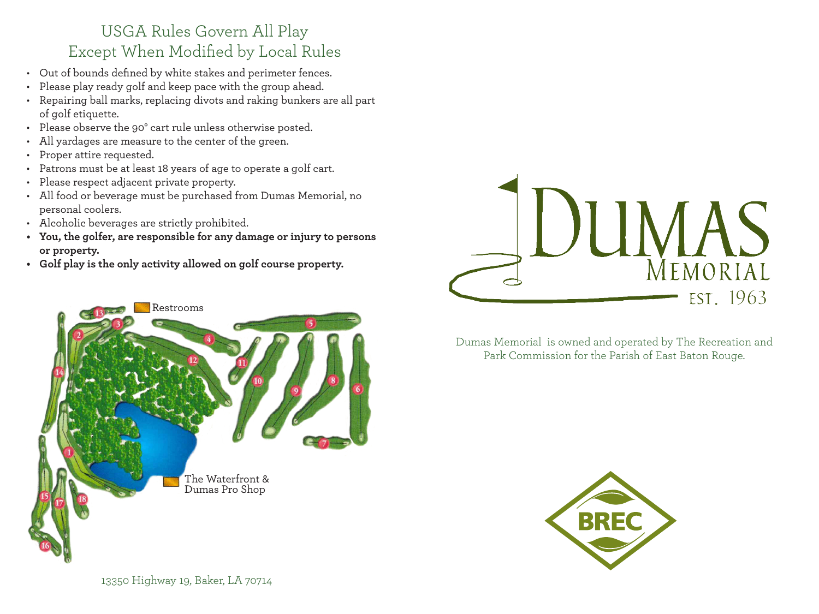## USGA Rules Govern All Play Except When Modified by Local Rules

- Out of bounds defined by white stakes and perimeter fences.
- Please play ready golf and keep pace with the group ahead.
- Repairing ball marks, replacing divots and raking bunkers are all part of golf etiquette.
- Please observe the 90° cart rule unless otherwise posted.
- All yardages are measure to the center of the green.
- Proper attire requested.
- Patrons must be at least 18 years of age to operate a golf cart.
- Please respect adjacent private property.
- All food or beverage must be purchased from Dumas Memorial, no personal coolers.
- Alcoholic beverages are strictly prohibited.
- **• You, the golfer, are responsible for any damage or injury to persons or property.**
- **• Golf play is the only activity allowed on golf course property.**





Dumas Memorial is owned and operated by The Recreation and Park Commission for the Parish of East Baton Rouge.



13350 Highway 19, Baker, LA 70714